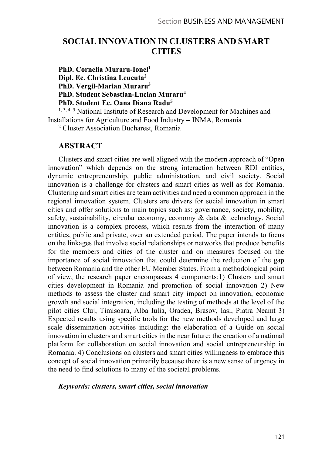# SOCIAL INNOVATION IN CLUSTERS AND SMART **CITIES**

PhD. Cornelia Muraru-Ionel1

Dipl. Ec. Christina Leucuta<sup>2</sup>

PhD. Vergil-Marian Muraru3

PhD. Student Sebastian-Lucian Muraru4

PhD. Student Ec. Oana Diana Radu5

<sup>1, 3, 4, 5</sup> National Institute of Research and Development for Machines and Installations for Agriculture and Food Industry - INMA, Romania

2 Cluster Association Bucharest, Romania

## ABSTRACT

Clusters and smart cities are well aligned with the modern approach of "Open" innovation" which depends on the strong interaction between RDI entities, dynamic entrepreneurship, public administration, and civil society. Social innovation is a challenge for clusters and smart cities as well as for Romania. Clustering and smart cities are team activities and need a common approach in the regional innovation system. Clusters are drivers for social innovation in smart cities and offer solutions to main topics such as: governance, society, mobility, safety, sustainability, circular economy, economy & data & technology. Social innovation is a complex process, which results from the interaction of many entities, public and private, over an extended period. The paper intends to focus on the linkages that involve social relationships or networks that produce benefits for the members and cities of the cluster and on measures focused on the importance of social innovation that could determine the reduction of the gap between Romania and the other EU Member States. From a methodological point of view, the research paper encompasses 4 components:1) Clusters and smart cities development in Romania and promotion of social innovation 2) New methods to assess the cluster and smart city impact on innovation, economic growth and social integration, including the testing of methods at the level of the pilot cities Cluj, Timisoara, Alba Iulia, Oradea, Brasov, Iasi, Piatra Neamt 3) Expected results using specific tools for the new methods developed and large scale dissemination activities including: the elaboration of a Guide on social innovation in clusters and smart cities in the near future; the creation of a national platform for collaboration on social innovation and social entrepreneurship in Romania. 4) Conclusions on clusters and smart cities willingness to embrace this concept of social innovation primarily because there is a new sense of urgency in the need to find solutions to many of the societal problems.

#### Keywords: clusters, smart cities, social innovation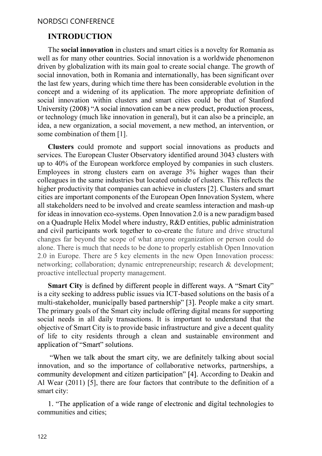# INTRODUCTION

The social innovation in clusters and smart cities is a novelty for Romania as well as for many other countries. Social innovation is a worldwide phenomenon driven by globalization with its main goal to create social change. The growth of social innovation, both in Romania and internationally, has been significant over the last few years, during which time there has been considerable evolution in the concept and a widening of its application. The more appropriate definition of social innovation within clusters and smart cities could be that of Stanford University (2008) "A social innovation can be a new product, production process, or technology (much like innovation in general), but it can also be a principle, an idea, a new organization, a social movement, a new method, an intervention, or some combination of them [1].

Clusters could promote and support social innovations as products and services. The European Cluster Observatory identified around 3043 clusters with up to 40% of the European workforce employed by companies in such clusters. Employees in strong clusters earn on average 3% higher wages than their colleagues in the same industries but located outside of clusters. This reflects the higher productivity that companies can achieve in clusters [2]. Clusters and smart cities are important components of the European Open Innovation System, where all stakeholders need to be involved and create seamless interaction and mash-up for ideas in innovation eco-systems. Open Innovation 2.0 is a new paradigm based on a Quadruple Helix Model where industry, R&D entities, public administration and civil participants work together to co-create the future and drive structural changes far beyond the scope of what anyone organization or person could do alone. There is much that needs to be done to properly establish Open Innovation 2.0 in Europe. There are 5 key elements in the new Open Innovation process: networking; collaboration; dynamic entrepreneurship; research & development; proactive intellectual property management.

**Smart City** is defined by different people in different ways. A "Smart City" is a city seeking to address public issues via ICT-based solutions on the basis of a multi-stakeholder, municipally based partnership" [3]. People make a city smart. The primary goals of the Smart city include offering digital means for supporting social needs in all daily transactions. It is important to understand that the objective of Smart City is to provide basic infrastructure and give a decent quality of life to city residents through a clean and sustainable environment and application of "Smart" solutions.

"When we talk about the smart city, we are definitely talking about social innovation, and so the importance of collaborative networks, partnerships, a community development and citizen participation" [4]. According to Deakin and Al Wear (2011) [5], there are four factors that contribute to the definition of a smart city:

1. "The application of a wide range of electronic and digital technologies to communities and cities;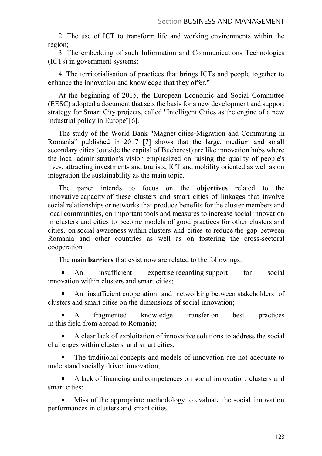2. The use of ICT to transform life and working environments within the region;

3. The embedding of such Information and Communications Technologies (ICTs) in government systems;

4. The territorialisation of practices that brings ICTs and people together to enhance the innovation and knowledge that they offer."<br>At the beginning of 2015, the European Economic and Social Committee

(EESC) adopted a document that sets the basis for a new development and support strategy for Smart City projects, called "Intelligent Cities as the engine of a new industrial policy in Europe"[6].

The study of the World Bank "Magnet cities-Migration and Commuting in Romania" published in 2017 [7] shows that the large, medium and small secondary cities (outside the capital of Bucharest) are like innovation hubs where the local administration's vision emphasized on raising the quality of people's lives, attracting investments and tourists, ICT and mobility oriented as well as on integration the sustainability as the main topic.

The paper intends to focus on the **objectives** related to the innovative capacity of these clusters and smart cities of linkages that involve social relationships or networks that produce benefits for the cluster members and local communities, on important tools and measures to increase social innovation in clusters and cities to become models of good practices for other clusters and cities, on social awareness within clusters and cities to reduce the gap between Romania and other countries as well as on fostering the cross-sectoral cooperation.

The main barriers that exist now are related to the followings:

An insufficient expertise regarding support for social innovation within clusters and smart cities;

An insufficient cooperation and networking between stakeholders of clusters and smart cities on the dimensions of social innovation;

A fragmented knowledge transfer on best practices in this field from abroad to Romania;

A clear lack of exploitation of innovative solutions to address the social challenges within clusters and smart cities;

The traditional concepts and models of innovation are not adequate to understand socially driven innovation;

 $\blacksquare$ A lack of financing and competences on social innovation, clusters and smart cities;

Miss of the appropriate methodology to evaluate the social innovation performances in clusters and smart cities.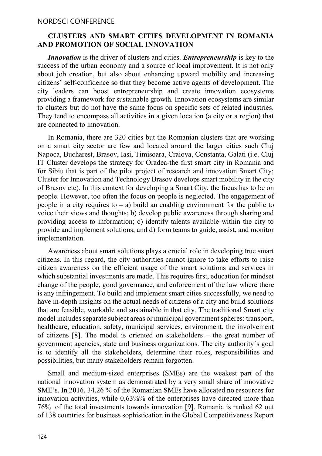#### CLUSTERS AND SMART CITIES DEVELOPMENT IN ROMANIA AND PROMOTION OF SOCIAL INNOVATION

Innovation is the driver of clusters and cities. *Entrepreneurship* is key to the success of the urban economy and a source of local improvement. It is not only about job creation, but also about enhancing upward mobility and increasing citizens' self-confidence so that they become active agents of development. The city leaders can boost entrepreneurship and create innovation ecosystems providing a framework for sustainable growth. Innovation ecosystems are similar to clusters but do not have the same focus on specific sets of related industries. They tend to encompass all activities in a given location (a city or a region) that are connected to innovation.

In Romania, there are 320 cities but the Romanian clusters that are working on a smart city sector are few and located around the larger cities such Cluj Napoca, Bucharest, Brasov, Iasi, Timisoara, Craiova, Constanta, Galati (i.e. Cluj IT Cluster develops the strategy for Oradea-the first smart city in Romania and for Sibiu that is part of the pilot project of research and innovation Smart City; Cluster for Innovation and Technology Brasov develops smart mobility in the city of Brasov etc). In this context for developing a Smart City, the focus has to be on people. However, too often the focus on people is neglected. The engagement of people in a city requires to  $-$  a) build an enabling environment for the public to voice their views and thoughts; b) develop public awareness through sharing and providing access to information; c) identify talents available within the city to provide and implement solutions; and d) form teams to guide, assist, and monitor implementation.

Awareness about smart solutions plays a crucial role in developing true smart citizens. In this regard, the city authorities cannot ignore to take efforts to raise citizen awareness on the efficient usage of the smart solutions and services in which substantial investments are made. This requires first, education for mindset change of the people, good governance, and enforcement of the law where there is any infringement. To build and implement smart cities successfully, we need to have in-depth insights on the actual needs of citizens of a city and build solutions that are feasible, workable and sustainable in that city. The traditional Smart city model includes separate subject areas or municipal government spheres: transport, healthcare, education, safety, municipal services, environment, the involvement of citizens  $[8]$ . The model is oriented on stakeholders – the great number of government agencies, state and business organizations. The city authority`s goal is to identify all the stakeholders, determine their roles, responsibilities and possibilities, but many stakeholders remain forgotten.

Small and medium-sized enterprises (SMEs) are the weakest part of the national innovation system as demonstrated by a very small share of innovative SME's. In 2016, 34,26 % of the Romanian SMEs have allocated no resources for innovation activities, while 0,63%% of the enterprises have directed more than 76% of the total investments towards innovation [9]. Romania is ranked 62 out of 138 countries for business sophistication in the Global Competitiveness Report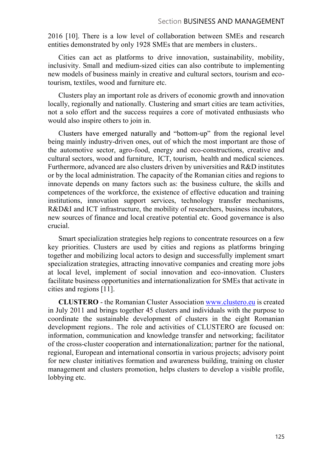2016 [10]. There is a low level of collaboration between SMEs and research entities demonstrated by only 1928 SMEs that are members in clusters..

Cities can act as platforms to drive innovation, sustainability, mobility, inclusivity. Small and medium-sized cities can also contribute to implementing new models of business mainly in creative and cultural sectors, tourism and ecotourism, textiles, wood and furniture etc.

Clusters play an important role as drivers of economic growth and innovation locally, regionally and nationally. Clustering and smart cities are team activities, not a solo effort and the success requires a core of motivated enthusiasts who would also inspire others to join in.

Clusters have emerged naturally and "bottom-up" from the regional level being mainly industry-driven ones, out of which the most important are those of the automotive sector, agro-food, energy and eco-constructions, creative and cultural sectors, wood and furniture, ICT, tourism, health and medical sciences. Furthermore, advanced are also clusters driven by universities and R&D institutes or by the local administration. The capacity of the Romanian cities and regions to innovate depends on many factors such as: the business culture, the skills and competences of the workforce, the existence of effective education and training institutions, innovation support services, technology transfer mechanisms, R&D&I and ICT infrastructure, the mobility of researchers, business incubators, new sources of finance and local creative potential etc. Good governance is also crucial.

Smart specialization strategies help regions to concentrate resources on a few key priorities. Clusters are used by cities and regions as platforms bringing together and mobilizing local actors to design and successfully implement smart specialization strategies, attracting innovative companies and creating more jobs at local level, implement of social innovation and eco-innovation. Clusters facilitate business opportunities and internationalization for SMEs that activate in cities and regions [11].

CLUSTERO - the Romanian Cluster Association www.clustero.eu is created in July 2011 and brings together 45 clusters and individuals with the purpose to coordinate the sustainable development of clusters in the eight Romanian development regions.. The role and activities of CLUSTERO are focused on: information, communication and knowledge transfer and networking; facilitator of the cross-cluster cooperation and internationalization; partner for the national, regional, European and international consortia in various projects; advisory point for new cluster initiatives formation and awareness building, training on cluster management and clusters promotion, helps clusters to develop a visible profile, lobbying etc.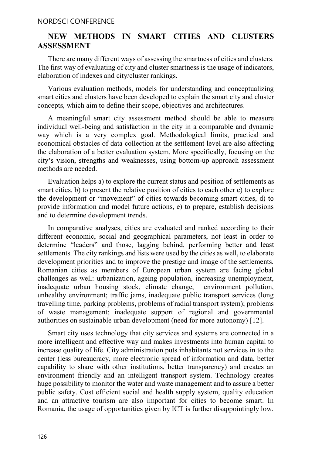#### NORDSCI CONFERENCE

# NEW METHODS IN SMART CITIES AND CLUSTERS ASSESSMENT

There are many different ways of assessing the smartness of cities and clusters. The first way of evaluating of city and cluster smartness is the usage of indicators, elaboration of indexes and city/cluster rankings.

Various evaluation methods, models for understanding and conceptualizing smart cities and clusters have been developed to explain the smart city and cluster concepts, which aim to define their scope, objectives and architectures.

A meaningful smart city assessment method should be able to measure individual well-being and satisfaction in the city in a comparable and dynamic way which is a very complex goal. Methodological limits, practical and economical obstacles of data collection at the settlement level are also affecting the elaboration of a better evaluation system. More specifically, focusing on the city's vision, strengths and weaknesses, using bottom-up approach assessment methods are needed.

Evaluation helps a) to explore the current status and position of settlements as smart cities, b) to present the relative position of cities to each other c) to explore the development or "movement" of cities towards becoming smart cities, d) to provide information and model future actions, e) to prepare, establish decisions and to determine development trends.

In comparative analyses, cities are evaluated and ranked according to their different economic, social and geographical parameters, not least in order to determine "leaders" and those, lagging behind, performing better and least settlements. The city rankings and lists were used by the cities as well, to elaborate development priorities and to improve the prestige and image of the settlements. Romanian cities as members of European urban system are facing global challenges as well: urbanization, ageing population, increasing unemployment, inadequate urban housing stock, climate change, environment pollution, unhealthy environment; traffic jams, inadequate public transport services (long travelling time, parking problems, problems of radial transport system); problems of waste management; inadequate support of regional and governmental authorities on sustainable urban development (need for more autonomy) [12].

Smart city uses technology that city services and systems are connected in a more intelligent and effective way and makes investments into human capital to increase quality of life. City administration puts inhabitants not services in to the center (less bureaucracy, more electronic spread of information and data, better capability to share with other institutions, better transparency) and creates an environment friendly and an intelligent transport system. Technology creates huge possibility to monitor the water and waste management and to assure a better public safety. Cost efficient social and health supply system, quality education and an attractive tourism are also important for cities to become smart. In Romania, the usage of opportunities given by ICT is further disappointingly low.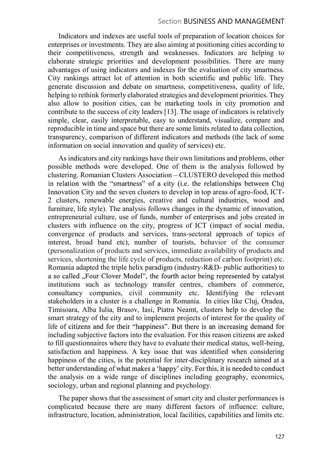Indicators and indexes are useful tools of preparation of location choices for enterprises or investments. They are also aiming at positioning cities according to their competitiveness, strength and weaknesses. Indicators are helping to elaborate strategic priorities and development possibilities. There are many advantages of using indicators and indexes for the evaluation of city smartness. City rankings attract lot of attention in both scientific and public life. They generate discussion and debate on smartness, competitiveness, quality of life, helping to rethink formerly elaborated strategies and development priorities. They also allow to position cities, can be marketing tools in city promotion and contribute to the success of city leaders [13]. The usage of indicators is relatively simple, clear, easily interpretable, easy to understand, visualize, compare and reproducible in time and space but there are some limits related to data collection, transparency, comparison of different indicators and methods (the lack of some information on social innovation and quality of services) etc.

As indicators and city rankings have their own limitations and problems, other possible methods were developed. One of them is the analysis followed by clustering. Romanian Clusters Association – CLUSTERO developed this method in relation with the "smartness" of a city (*i.e.* the relationships between Cluj Innovation City and the seven clusters to develop in top areas of agro-food, ICT-2 clusters, renewable energies, creative and cultural industries, wood and furniture, life style). The analysis follows changes in the dynamic of innovation, entrepreneurial culture, use of funds, number of enterprises and jobs created in clusters with influence on the city, progress of ICT (impact of social media, convergence of products and services, trans-sectoral approach of topics of interest, broad band etc), number of tourists, behavior of the consumer (personalization of products and services, immediate availability of products and services, shortening the life cycle of products, reduction of carbon footprint) etc. Romania adapted the triple helix paradigm (industry-R&D- public authorities) to institutions such as technology transfer centres, chambers of commerce, consultancy companies, civil community etc. Identifying the relevant stakeholders in a cluster is a challenge in Romania. In cities like Cluj, Oradea, Timisoara, Alba Iulia, Brasov, Iasi, Piatra Neamt, clusters help to develop the smart strategy of the city and to implement projects of interest for the quality of life of citizens and for their "happiness". But there is an increasing demand for including subjective factors into the evaluation. For this reason citizens are asked to fill questionnaires where they have to evaluate their medical status, well-being, satisfaction and happiness. A key issue that was identified when considering happiness of the cities, is the potential for inter-disciplinary research aimed at a better understanding of what makes a 'happy' city. For this, it is needed to conduct the analysis on a wide range of disciplines including geography, economics, sociology, urban and regional planning and psychology.

The paper shows that the assessment of smart city and cluster performances is complicated because there are many different factors of influence: culture, infrastructure, location, administration, local facilities, capabilities and limits etc.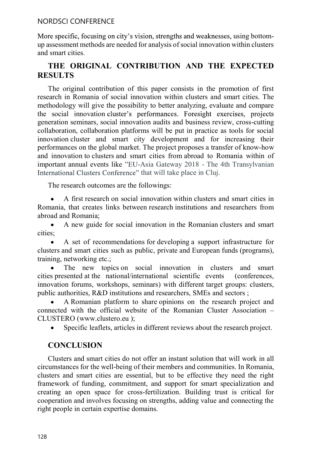#### NORDSCI CONFERENCE

More specific, focusing on city's vision, strengths and weaknesses, using bottomup assessment methods are needed for analysis of social innovation within clusters and smart cities.

# THE ORIGINAL CONTRIBUTION AND THE EXPECTED RESULTS

The original contribution of this paper consists in the promotion of first research in Romania of social innovation within clusters and smart cities. The methodology will give the possibility to better analyzing, evaluate and compare the social innovation cluster's performances. Foresight exercises, projects generation seminars, social innovation audits and business review, cross-cutting collaboration, collaboration platforms will be put in practice as tools for social innovation cluster and smart city development and for increasing their performances on the global market. The project proposes a transfer of know-how and innovation to clusters and smart cities from abroad to Romania within of important annual events like "EU-Asia Gateway 2018 - The 4th Transylvanian International Clusters Conference" that will take place in Cluj.

The research outcomes are the followings:

A first research on social innovation within clusters and smart cities in Romania, that creates links between research institutions and researchers from abroad and Romania;

A new guide for social innovation in the Romanian clusters and smart cities;

A set of recommendations for developing a support infrastructure for clusters and smart cities such as public, private and European funds (programs), training, networking etc.;

The new topics on social innovation in clusters and smart cities presented at the national/international scientific events (conferences, innovation forums, workshops, seminars) with different target groups: clusters, public authorities, R&D institutions and researchers, SMEs and sectors ;

A Romanian platform to share opinions on the research project and connected with the official website of the Romanian Cluster Association CLUSTERO (www.clustero.eu );

Specific leaflets, articles in different reviews about the research project.  $\bullet$ 

# **CONCLUSION**

Clusters and smart cities do not offer an instant solution that will work in all circumstances for the well-being of their members and communities. In Romania, clusters and smart cities are essential, but to be effective they need the right framework of funding, commitment, and support for smart specialization and creating an open space for cross-fertilization. Building trust is critical for cooperation and involves focusing on strengths, adding value and connecting the right people in certain expertise domains.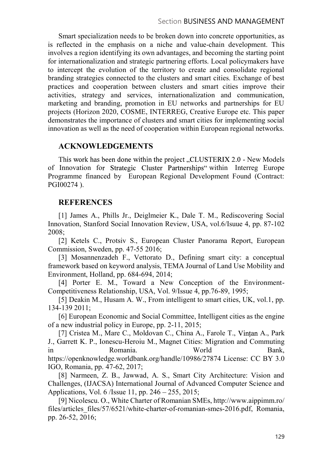Smart specialization needs to be broken down into concrete opportunities, as is reflected in the emphasis on a niche and value-chain development. This involves a region identifying its own advantages, and becoming the starting point for internationalization and strategic partnering efforts. Local policymakers have to intercept the evolution of the territory to create and consolidate regional branding strategies connected to the clusters and smart cities. Exchange of best practices and cooperation between clusters and smart cities improve their activities, strategy and services, internationalization and communication, marketing and branding, promotion in EU networks and partnerships for EU projects (Horizon 2020, COSME, INTERREG, Creative Europe etc. This paper demonstrates the importance of clusters and smart cities for implementing social innovation as well as the need of cooperation within European regional networks.

## ACKNOWLEDGEMENTS

This work has been done within the project "CLUSTERIX 2.0 - New Models of Innovation for Strategic Cluster Partnerships" within Interreg Europe Programme financed by European Regional Development Found (Contract: PGI00274 ).

## REFERENCES

[1] James A., Phills Jr., Deiglmeier K., Dale T. M., Rediscovering Social Innovation, Stanford Social Innovation Review, USA, vol.6/Isuue 4, pp. 87-102 2008;

[2] Ketels C., Protsiv S., European Cluster Panorama Report, European Commission, Sweden, pp. 47-55 2016;

[3] Mosannenzadeh F., Vettorato D., Defining smart city: a conceptual framework based on keyword analysis, TEMA Journal of Land Use Mobility and Environment, Holland, pp. 684-694, 2014;

[4] Porter E. M., Toward a New Conception of the Environment-Competitiveness Relationship, USA, Vol. 9/Issue 4, pp.76-89, 1995;

[5] Deakin M., Husam A. W., From intelligent to smart cities, UK, vol.1, pp. 134-139 2011;

[6] European Economic and Social Committee, Intelligent cities as the engine of a new industrial policy in Europe, pp. 2-11, 2015;

[7] Cristea M., Mare C., Moldovan C., China A., Farole T., Vintan A., Park J., Garrett K. P., Ionescu-Heroiu M., Magnet Cities: Migration and Commuting in Romania. World Bank, https://openknowledge.worldbank.org/handle/10986/27874 License: CC BY 3.0 IGO, Romania, pp. 47-62, 2017;

[8] Narmeen, Z. B., Jawwad, A. S., Smart City Architecture: Vision and Challenges, (IJACSA) International Journal of Advanced Computer Science and Applications, Vol. 6 /Issue 11, pp. 246 – 255, 2015;

[9] Nicolescu. O., White Charter of Romanian SMEs, http://www.aippimm.ro/ files/articles\_files/57/6521/white-charter-of-romanian-smes-2016.pdf, Romania, pp. 26-52, 2016;